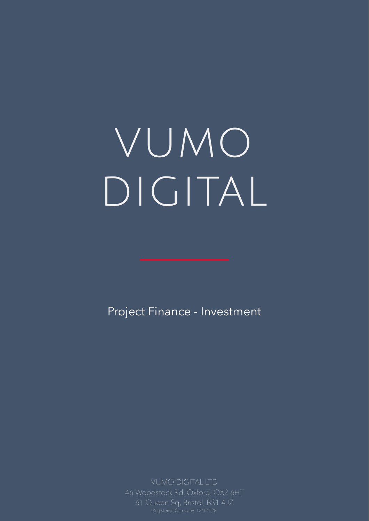# vumo

## DIGITAL

VUMO DIGITAL LTD 46 Woodstock Rd, Oxford, OX2 6HT 61 Queen Sq, Bristol, BS1 4JZ Registered Company: 12404028

#### Project Finance - Investment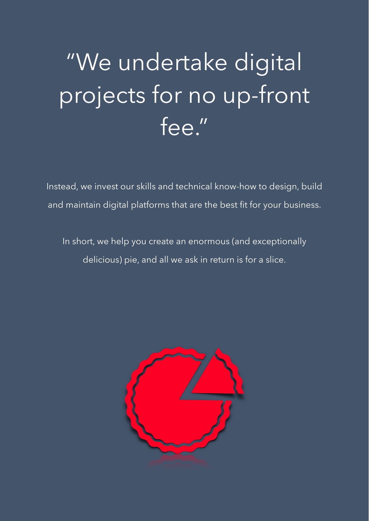# "We undertake digital

projects for no up-front



### Instead, we invest our skills and technical know-how to design, build and maintain digital platforms that are the best fit for your business.

In short, we help you create an enormous (and exceptionally

delicious) pie, and all we ask in return is for a slice.



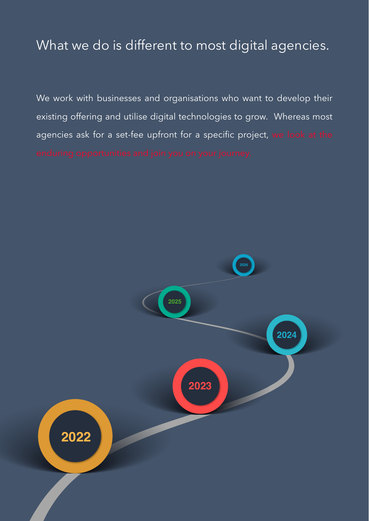## What we do is different to most digital agencies.



**2026** 

We work with businesses and organisations who want to develop their

existing offering and utilise digital technologies to grow. Whereas most

agencies ask for a set-fee upfront for a specific project, we look at the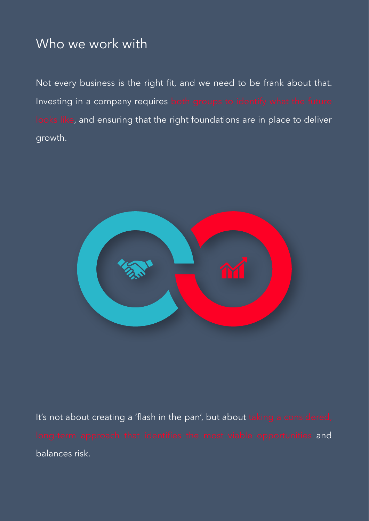#### Who we work with

Not every business is the right fit, and we need to be frank about that. Investing in a company requires both groups to identify what the future looks like, and ensuring that the right foundations are in place to deliver







It's not about creating a 'flash in the pan', but about taking a considered, long-term approach that identifies the most viable opportunities and

balances risk.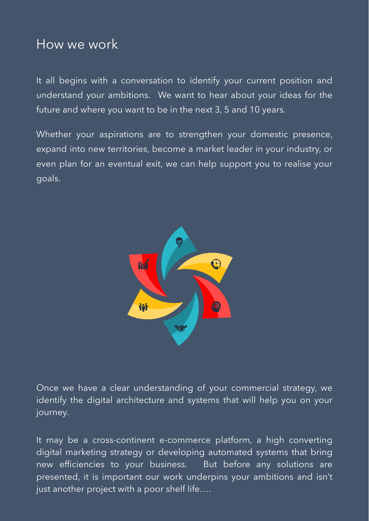#### How we work

It all begins with a conversation to identify your current position and understand your ambitions. We want to hear about your ideas for the future and where you want to be in the next 3, 5 and 10 years.

Once we have a clear understanding of your commercial strategy, we identify the digital architecture and systems that will help you on your journey.

Whether your aspirations are to strengthen your domestic presence, expand into new territories, become a market leader in your industry, or even plan for an eventual exit, we can help support you to realise your goals.



It may be a cross-continent e-commerce platform, a high converting digital marketing strategy or developing automated systems that bring new efficiencies to your business. But before any solutions are presented, it is important our work underpins your ambitions and isn't just another project with a poor shelf life….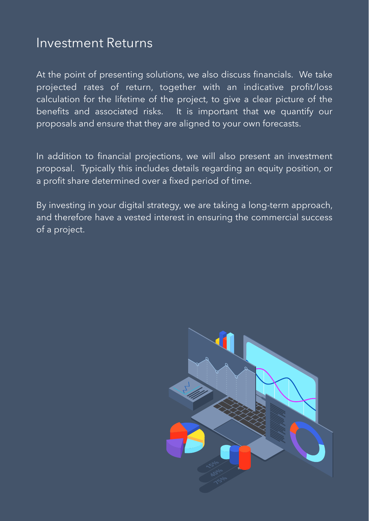In addition to financial projections, we will also present an investment proposal. Typically this includes details regarding an equity position, or a profit share determined over a fixed period of time.

By investing in your digital strategy, we are taking a long-term approach, and therefore have a vested interest in ensuring the commercial success of a project.

#### Investment Returns

At the point of presenting solutions, we also discuss financials. We take projected rates of return, together with an indicative profit/loss calculation for the lifetime of the project, to give a clear picture of the benefits and associated risks. It is important that we quantify our proposals and ensure that they are aligned to your own forecasts.